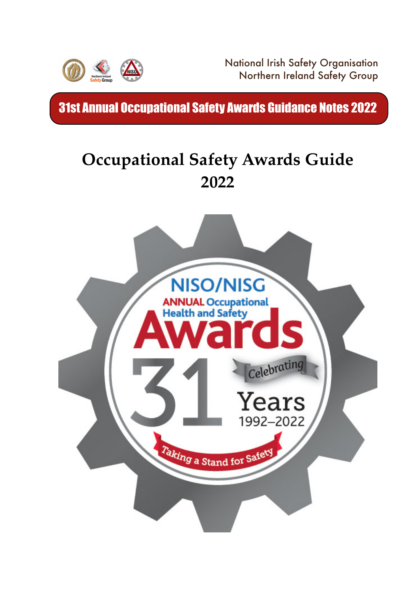

National Irish Safety Organisation Northern Ireland Safety Group

31st Annual Occupational Safety Awards Guidance Notes 2022

# **Occupational Safety Awards Guide 2022**

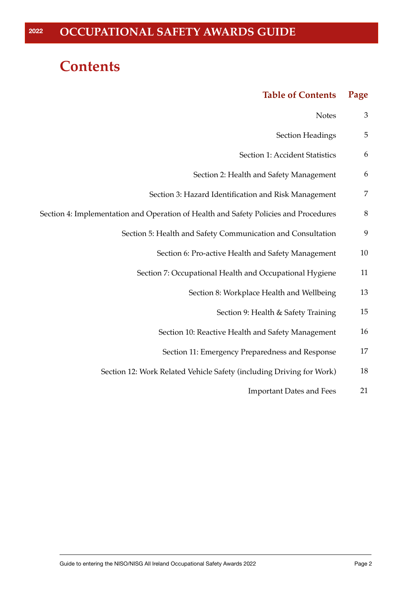# **Contents**

#### **Table of Contents Page**

| 3       | <b>Notes</b>                                                                         |
|---------|--------------------------------------------------------------------------------------|
| 5       | <b>Section Headings</b>                                                              |
| 6       | Section 1: Accident Statistics                                                       |
| 6       | Section 2: Health and Safety Management                                              |
| 7       | Section 3: Hazard Identification and Risk Management                                 |
| $\,8\,$ | Section 4: Implementation and Operation of Health and Safety Policies and Procedures |
| 9       | Section 5: Health and Safety Communication and Consultation                          |
| 10      | Section 6: Pro-active Health and Safety Management                                   |
| 11      | Section 7: Occupational Health and Occupational Hygiene                              |
| 13      | Section 8: Workplace Health and Wellbeing                                            |
| 15      | Section 9: Health & Safety Training                                                  |
| 16      | Section 10: Reactive Health and Safety Management                                    |
| $17\,$  | Section 11: Emergency Preparedness and Response                                      |
| 18      | Section 12: Work Related Vehicle Safety (including Driving for Work)                 |
| 21      | <b>Important Dates and Fees</b>                                                      |
|         |                                                                                      |
|         |                                                                                      |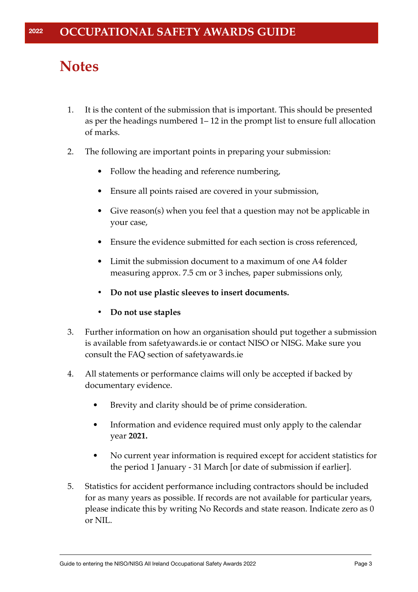# **Notes**

- 1. It is the content of the submission that is important. This should be presented as per the headings numbered 1– 12 in the prompt list to ensure full allocation of marks.
- 2. The following are important points in preparing your submission:
	- Follow the heading and reference numbering,
	- Ensure all points raised are covered in your submission,
	- Give reason(s) when you feel that a question may not be applicable in your case,
	- Ensure the evidence submitted for each section is cross referenced,
	- Limit the submission document to a maximum of one A4 folder measuring approx. 7.5 cm or 3 inches, paper submissions only,
	- **• Do not use plastic sleeves to insert documents.**
	- **• Do not use staples**
- 3. Further information on how an organisation should put together a submission is available from safetyawards.ie or contact NISO or NISG. Make sure you consult the FAQ section of safetyawards.ie
- 4. All statements or performance claims will only be accepted if backed by documentary evidence.
	- Brevity and clarity should be of prime consideration.
	- Information and evidence required must only apply to the calendar year **2021.**
	- No current year information is required except for accident statistics for the period 1 January - 31 March [or date of submission if earlier].
- 5. Statistics for accident performance including contractors should be included for as many years as possible. If records are not available for particular years, please indicate this by writing No Records and state reason. Indicate zero as 0 or NIL.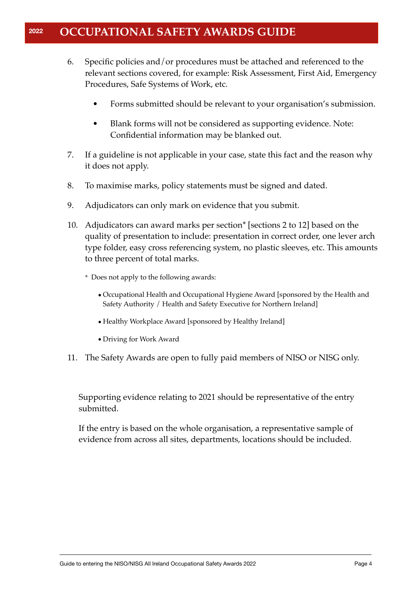- 6. Specific policies and/or procedures must be attached and referenced to the relevant sections covered, for example: Risk Assessment, First Aid, Emergency Procedures, Safe Systems of Work, etc.
	- Forms submitted should be relevant to your organisation's submission.
	- Blank forms will not be considered as supporting evidence. Note: Confidential information may be blanked out.
- 7. If a guideline is not applicable in your case, state this fact and the reason why it does not apply.
- 8. To maximise marks, policy statements must be signed and dated.
- 9. Adjudicators can only mark on evidence that you submit.
- 10. Adjudicators can award marks per section\* [sections 2 to 12] based on the quality of presentation to include: presentation in correct order, one lever arch type folder, easy cross referencing system, no plastic sleeves, etc. This amounts to three percent of total marks.
	- \* Does not apply to the following awards:
		- •Occupational Health and Occupational Hygiene Award [sponsored by the Health and Safety Authority / Health and Safety Executive for Northern Ireland]
		- Healthy Workplace Award [sponsored by Healthy Ireland]
		- •Driving for Work Award
- 11. The Safety Awards are open to fully paid members of NISO or NISG only.

Supporting evidence relating to 2021 should be representative of the entry submitted.

If the entry is based on the whole organisation, a representative sample of evidence from across all sites, departments, locations should be included.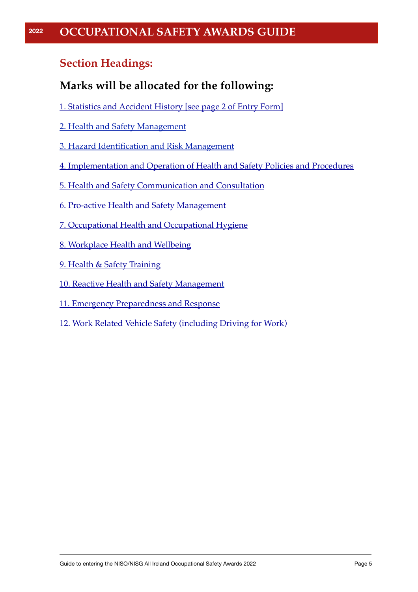### **Section Headings:**

### **Marks will be allocated for the following:**

- [1. Statistics and Accident History \[see page 2 of Entry Form\]](#page-5-0)
- [2. Health and Safety Management](#page-5-1)
- [3. Hazard Identification and Risk Management](#page-6-0)
- [4. Implementation and Operation of Health and Safety Policies and Procedures](#page-7-0)
- [5. Health and Safety Communication and Consultation](#page-8-0)
- [6. Pro-active Health and Safety Management](#page-9-0)
- [7. Occupational Health and Occupational Hygiene](#page-10-0)
- [8. Workplace Health and Wellbeing](#page-12-0)
- [9. Health & Safety Training](#page-14-0)
- [10. Reactive Health and Safety Managemen](#page-15-0)t
- [11. Emergency Preparedness and Response](#page-16-0)
- [12. Work Related Vehicle Safety \(including Driving for Work\)](#page-17-0)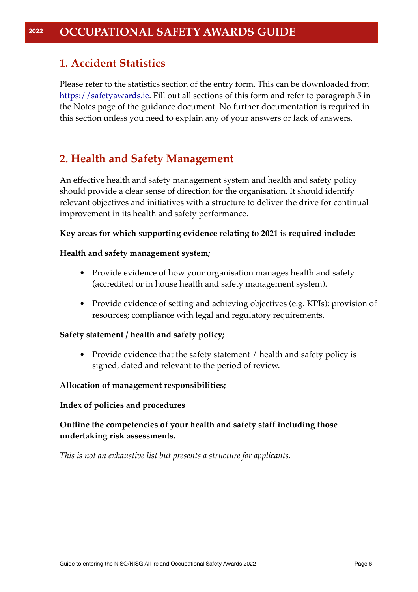### <span id="page-5-0"></span>**1. Accident Statistics**

Please refer to the statistics section of the entry form. This can be downloaded from [https://safetyawards.ie](http://safetyawards.ie). Fill out all sections of this form and refer to paragraph 5 in the Notes page of the guidance document. No further documentation is required in this section unless you need to explain any of your answers or lack of answers.

### <span id="page-5-1"></span>**2. Health and Safety Management**

An effective health and safety management system and health and safety policy should provide a clear sense of direction for the organisation. It should identify relevant objectives and initiatives with a structure to deliver the drive for continual improvement in its health and safety performance.

#### **Key areas for which supporting evidence relating to 2021 is required include:**

#### **Health and safety management system;**

- Provide evidence of how your organisation manages health and safety (accredited or in house health and safety management system).
- Provide evidence of setting and achieving objectives (e.g. KPIs); provision of resources; compliance with legal and regulatory requirements.

#### **Safety statement / health and safety policy;**

• Provide evidence that the safety statement / health and safety policy is signed, dated and relevant to the period of review.

#### **Allocation of management responsibilities;**

#### **Index of policies and procedures**

#### **Outline the competencies of your health and safety staff including those undertaking risk assessments.**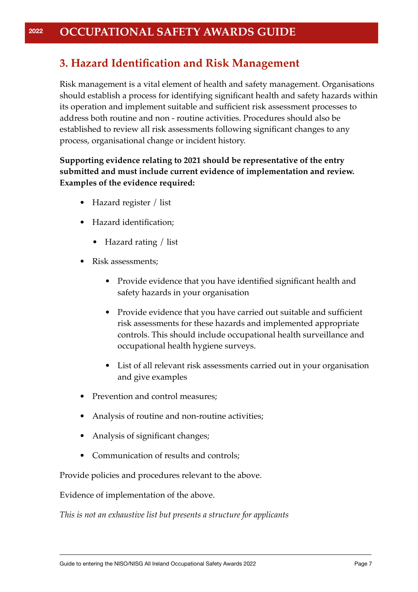### <span id="page-6-0"></span>**3. Hazard Identification and Risk Management**

Risk management is a vital element of health and safety management. Organisations should establish a process for identifying significant health and safety hazards within its operation and implement suitable and sufficient risk assessment processes to address both routine and non - routine activities. Procedures should also be established to review all risk assessments following significant changes to any process, organisational change or incident history.

#### **Supporting evidence relating to 2021 should be representative of the entry submitted and must include current evidence of implementation and review. Examples of the evidence required:**

- Hazard register / list
- Hazard identification;
	- Hazard rating / list
- Risk assessments;
	- Provide evidence that you have identified significant health and safety hazards in your organisation
	- Provide evidence that you have carried out suitable and sufficient risk assessments for these hazards and implemented appropriate controls. This should include occupational health surveillance and occupational health hygiene surveys.
	- List of all relevant risk assessments carried out in your organisation and give examples
- Prevention and control measures;
- Analysis of routine and non-routine activities;
- Analysis of significant changes;
- Communication of results and controls;

Provide policies and procedures relevant to the above.

Evidence of implementation of the above.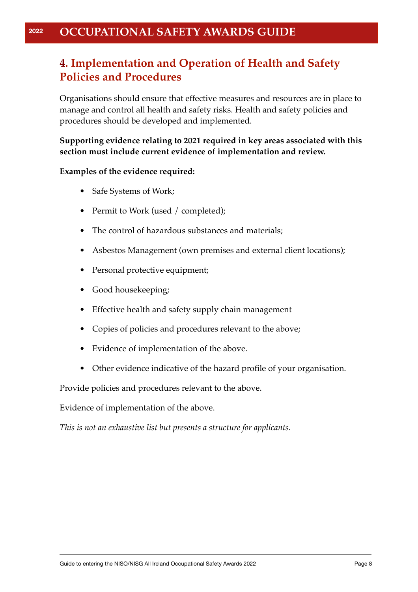### <span id="page-7-0"></span>**4. Implementation and Operation of Health and Safety Policies and Procedures**

Organisations should ensure that effective measures and resources are in place to manage and control all health and safety risks. Health and safety policies and procedures should be developed and implemented.

**Supporting evidence relating to 2021 required in key areas associated with this section must include current evidence of implementation and review.** 

#### **Examples of the evidence required:**

- Safe Systems of Work;
- Permit to Work (used / completed);
- The control of hazardous substances and materials;
- Asbestos Management (own premises and external client locations);
- Personal protective equipment;
- Good housekeeping;
- Effective health and safety supply chain management
- Copies of policies and procedures relevant to the above;
- Evidence of implementation of the above.
- Other evidence indicative of the hazard profile of your organisation.

Provide policies and procedures relevant to the above.

Evidence of implementation of the above.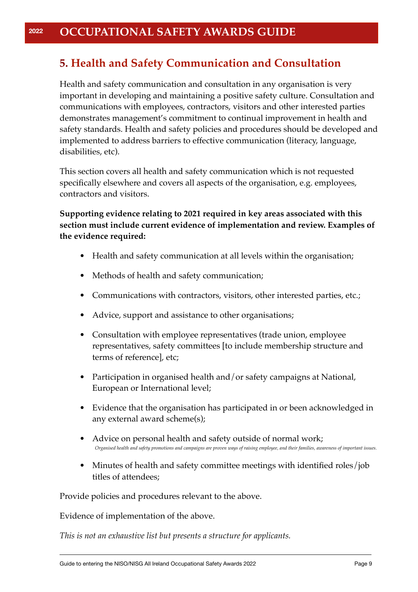### <span id="page-8-0"></span>**5. Health and Safety Communication and Consultation**

Health and safety communication and consultation in any organisation is very important in developing and maintaining a positive safety culture. Consultation and communications with employees, contractors, visitors and other interested parties demonstrates management's commitment to continual improvement in health and safety standards. Health and safety policies and procedures should be developed and implemented to address barriers to effective communication (literacy, language, disabilities, etc).

This section covers all health and safety communication which is not requested specifically elsewhere and covers all aspects of the organisation, e.g. employees, contractors and visitors.

**Supporting evidence relating to 2021 required in key areas associated with this section must include current evidence of implementation and review. Examples of the evidence required:**

- Health and safety communication at all levels within the organisation;
- Methods of health and safety communication;
- Communications with contractors, visitors, other interested parties, etc.;
- Advice, support and assistance to other organisations;
- Consultation with employee representatives (trade union, employee representatives, safety committees [to include membership structure and terms of reference], etc;
- Participation in organised health and/or safety campaigns at National, European or International level;
- Evidence that the organisation has participated in or been acknowledged in any external award scheme(s);
- Advice on personal health and safety outside of normal work; *Organised health and safety promotions and campaigns are proven ways of raising employee, and their families, awareness of important issues.*
- Minutes of health and safety committee meetings with identified roles/job titles of attendees;

Provide policies and procedures relevant to the above.

Evidence of implementation of the above.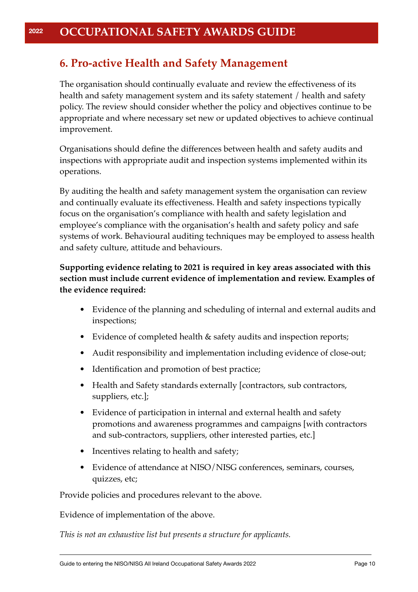### <span id="page-9-0"></span>**6. Pro-active Health and Safety Management**

The organisation should continually evaluate and review the effectiveness of its health and safety management system and its safety statement / health and safety policy. The review should consider whether the policy and objectives continue to be appropriate and where necessary set new or updated objectives to achieve continual improvement.

Organisations should define the differences between health and safety audits and inspections with appropriate audit and inspection systems implemented within its operations.

By auditing the health and safety management system the organisation can review and continually evaluate its effectiveness. Health and safety inspections typically focus on the organisation's compliance with health and safety legislation and employee's compliance with the organisation's health and safety policy and safe systems of work. Behavioural auditing techniques may be employed to assess health and safety culture, attitude and behaviours.

#### **Supporting evidence relating to 2021 is required in key areas associated with this section must include current evidence of implementation and review. Examples of the evidence required:**

- Evidence of the planning and scheduling of internal and external audits and inspections;
- Evidence of completed health & safety audits and inspection reports;
- Audit responsibility and implementation including evidence of close-out;
- Identification and promotion of best practice;
- Health and Safety standards externally [contractors, sub contractors, suppliers, etc.];
- Evidence of participation in internal and external health and safety promotions and awareness programmes and campaigns [with contractors and sub-contractors, suppliers, other interested parties, etc.]
- Incentives relating to health and safety;
- Evidence of attendance at NISO/NISG conferences, seminars, courses, quizzes, etc;

Provide policies and procedures relevant to the above.

Evidence of implementation of the above.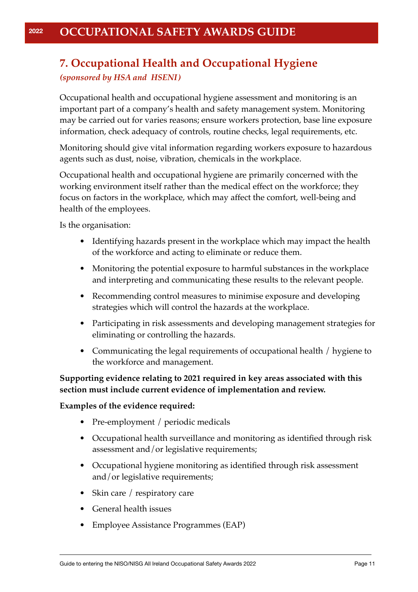### <span id="page-10-0"></span>**7. Occupational Health and Occupational Hygiene** *(sponsored by HSA and HSENI)*

Occupational health and occupational hygiene assessment and monitoring is an important part of a company's health and safety management system. Monitoring may be carried out for varies reasons; ensure workers protection, base line exposure information, check adequacy of controls, routine checks, legal requirements, etc.

Monitoring should give vital information regarding workers exposure to hazardous agents such as dust, noise, vibration, chemicals in the workplace.

Occupational health and occupational hygiene are primarily concerned with the working environment itself rather than the medical effect on the workforce; they focus on factors in the workplace, which may affect the comfort, well-being and health of the employees.

Is the organisation:

- Identifying hazards present in the workplace which may impact the health of the workforce and acting to eliminate or reduce them.
- Monitoring the potential exposure to harmful substances in the workplace and interpreting and communicating these results to the relevant people.
- Recommending control measures to minimise exposure and developing strategies which will control the hazards at the workplace.
- Participating in risk assessments and developing management strategies for eliminating or controlling the hazards.
- Communicating the legal requirements of occupational health / hygiene to the workforce and management.

#### **Supporting evidence relating to 2021 required in key areas associated with this section must include current evidence of implementation and review.**

#### **Examples of the evidence required:**

- Pre-employment / periodic medicals
- Occupational health surveillance and monitoring as identified through risk assessment and/or legislative requirements;
- Occupational hygiene monitoring as identified through risk assessment and/or legislative requirements;
- Skin care / respiratory care
- General health issues
- Employee Assistance Programmes (EAP)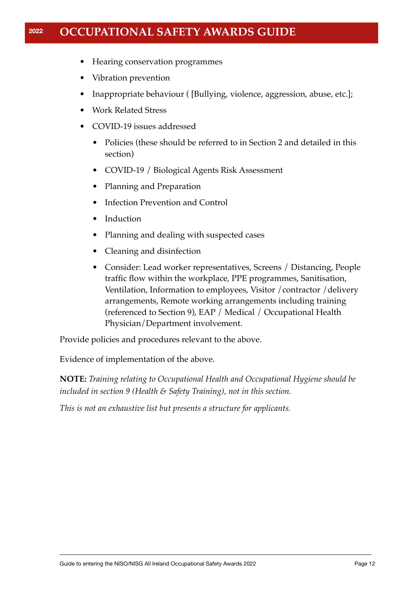- Hearing conservation programmes
- Vibration prevention
- Inappropriate behaviour ( [Bullying, violence, aggression, abuse, etc.];
- Work Related Stress
- COVID-19 issues addressed
	- Policies (these should be referred to in Section 2 and detailed in this section)
	- COVID-19 / Biological Agents Risk Assessment
	- Planning and Preparation
	- Infection Prevention and Control
	- Induction
	- Planning and dealing with suspected cases
	- Cleaning and disinfection
	- Consider: Lead worker representatives, Screens / Distancing, People traffic flow within the workplace, PPE programmes, Sanitisation, Ventilation, Information to employees, Visitor /contractor /delivery arrangements, Remote working arrangements including training (referenced to Section 9), EAP / Medical / Occupational Health Physician/Department involvement.

Provide policies and procedures relevant to the above.

Evidence of implementation of the above.

**NOTE:** *Training relating to Occupational Health and Occupational Hygiene should be included in section 9 (Health & Safety Training), not in this section.*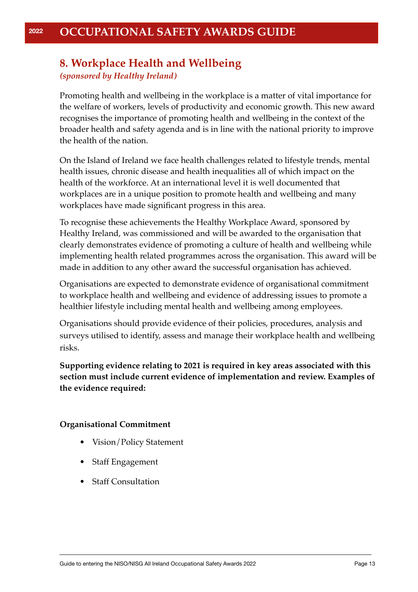### <span id="page-12-0"></span>**8. Workplace Health and Wellbeing** *(sponsored by Healthy Ireland)*

Promoting health and wellbeing in the workplace is a matter of vital importance for the welfare of workers, levels of productivity and economic growth. This new award recognises the importance of promoting health and wellbeing in the context of the broader health and safety agenda and is in line with the national priority to improve the health of the nation.

On the Island of Ireland we face health challenges related to lifestyle trends, mental health issues, chronic disease and health inequalities all of which impact on the health of the workforce. At an international level it is well documented that workplaces are in a unique position to promote health and wellbeing and many workplaces have made significant progress in this area.

To recognise these achievements the Healthy Workplace Award, sponsored by Healthy Ireland, was commissioned and will be awarded to the organisation that clearly demonstrates evidence of promoting a culture of health and wellbeing while implementing health related programmes across the organisation. This award will be made in addition to any other award the successful organisation has achieved.

Organisations are expected to demonstrate evidence of organisational commitment to workplace health and wellbeing and evidence of addressing issues to promote a healthier lifestyle including mental health and wellbeing among employees.

Organisations should provide evidence of their policies, procedures, analysis and surveys utilised to identify, assess and manage their workplace health and wellbeing risks.

**Supporting evidence relating to 2021 is required in key areas associated with this section must include current evidence of implementation and review. Examples of the evidence required:**

#### **Organisational Commitment**

- Vision/Policy Statement
- Staff Engagement
- Staff Consultation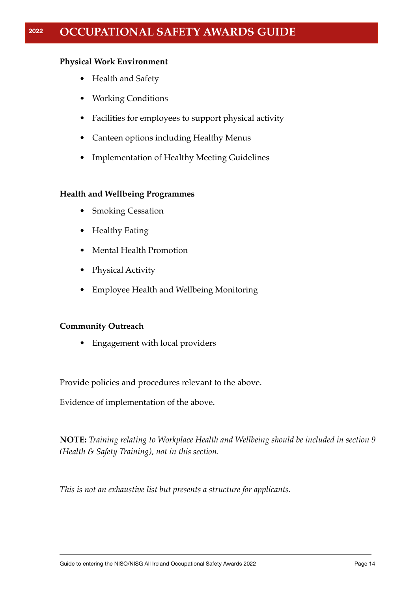#### **Physical Work Environment**

- Health and Safety
- Working Conditions
- Facilities for employees to support physical activity
- Canteen options including Healthy Menus
- Implementation of Healthy Meeting Guidelines

#### **Health and Wellbeing Programmes**

- Smoking Cessation
- Healthy Eating
- Mental Health Promotion
- Physical Activity
- Employee Health and Wellbeing Monitoring

#### **Community Outreach**

• Engagement with local providers

Provide policies and procedures relevant to the above.

Evidence of implementation of the above.

**NOTE:** *Training relating to Workplace Health and Wellbeing should be included in section 9 (Health & Safety Training), not in this section.*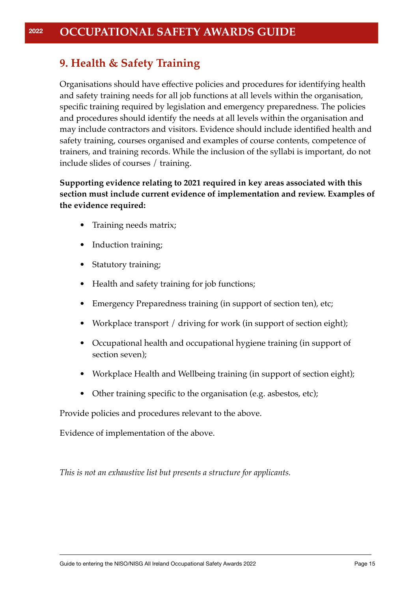### <span id="page-14-0"></span>**9. Health & Safety Training**

Organisations should have effective policies and procedures for identifying health and safety training needs for all job functions at all levels within the organisation, specific training required by legislation and emergency preparedness. The policies and procedures should identify the needs at all levels within the organisation and may include contractors and visitors. Evidence should include identified health and safety training, courses organised and examples of course contents, competence of trainers, and training records. While the inclusion of the syllabi is important, do not include slides of courses / training.

#### **Supporting evidence relating to 2021 required in key areas associated with this section must include current evidence of implementation and review. Examples of the evidence required:**

- Training needs matrix;
- Induction training;
- Statutory training;
- Health and safety training for job functions;
- Emergency Preparedness training (in support of section ten), etc;
- Workplace transport / driving for work (in support of section eight);
- Occupational health and occupational hygiene training (in support of section seven);
- Workplace Health and Wellbeing training (in support of section eight);
- Other training specific to the organisation (e.g. asbestos, etc);

Provide policies and procedures relevant to the above.

Evidence of implementation of the above.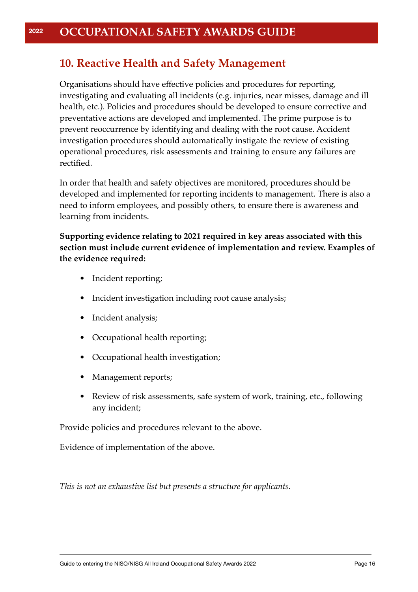### <span id="page-15-0"></span>**10. Reactive Health and Safety Management**

Organisations should have effective policies and procedures for reporting, investigating and evaluating all incidents (e.g. injuries, near misses, damage and ill health, etc.). Policies and procedures should be developed to ensure corrective and preventative actions are developed and implemented. The prime purpose is to prevent reoccurrence by identifying and dealing with the root cause. Accident investigation procedures should automatically instigate the review of existing operational procedures, risk assessments and training to ensure any failures are rectified.

In order that health and safety objectives are monitored, procedures should be developed and implemented for reporting incidents to management. There is also a need to inform employees, and possibly others, to ensure there is awareness and learning from incidents.

**Supporting evidence relating to 2021 required in key areas associated with this section must include current evidence of implementation and review. Examples of the evidence required:**

- Incident reporting;
- Incident investigation including root cause analysis;
- Incident analysis;
- Occupational health reporting;
- Occupational health investigation;
- Management reports;
- Review of risk assessments, safe system of work, training, etc., following any incident;

Provide policies and procedures relevant to the above.

Evidence of implementation of the above.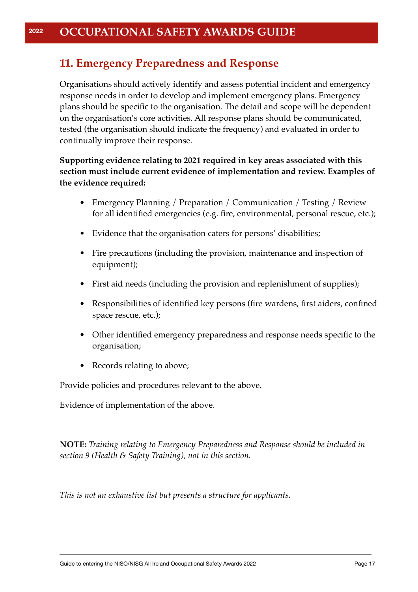### <span id="page-16-0"></span>**11. Emergency Preparedness and Response**

Organisations should actively identify and assess potential incident and emergency response needs in order to develop and implement emergency plans. Emergency plans should be specific to the organisation. The detail and scope will be dependent on the organisation's core activities. All response plans should be communicated, tested (the organisation should indicate the frequency) and evaluated in order to continually improve their response.

#### **Supporting evidence relating to 2021 required in key areas associated with this section must include current evidence of implementation and review. Examples of the evidence required:**

- Emergency Planning / Preparation / Communication / Testing / Review for all identified emergencies (e.g. fire, environmental, personal rescue, etc.);
- Evidence that the organisation caters for persons' disabilities;
- Fire precautions (including the provision, maintenance and inspection of equipment);
- First aid needs (including the provision and replenishment of supplies);
- Responsibilities of identified key persons (fire wardens, first aiders, confined space rescue, etc.);
- Other identified emergency preparedness and response needs specific to the organisation;
- Records relating to above;

Provide policies and procedures relevant to the above.

Evidence of implementation of the above.

**NOTE:** *Training relating to Emergency Preparedness and Response should be included in section 9 (Health & Safety Training), not in this section.*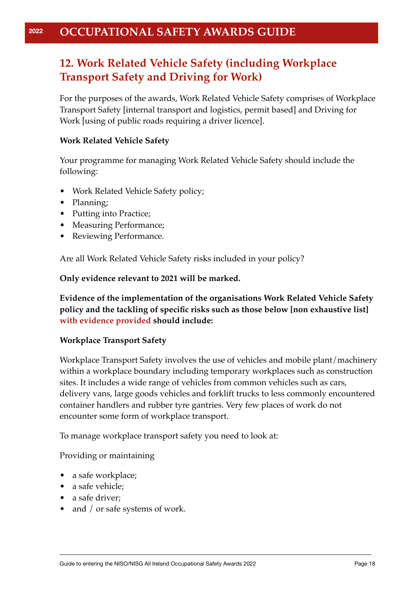### <span id="page-17-0"></span>**12. Work Related Vehicle Safety (including Workplace Transport Safety and Driving for Work)**

For the purposes of the awards, Work Related Vehicle Safety comprises of Workplace Transport Safety [internal transport and logistics, permit based] and Driving for Work [using of public roads requiring a driver licence].

#### **Work Related Vehicle Safety**

Your programme for managing Work Related Vehicle Safety should include the following:

- Work Related Vehicle Safety policy;
- Planning;
- Putting into Practice;
- Measuring Performance;
- Reviewing Performance.

Are all Work Related Vehicle Safety risks included in your policy?

**Only evidence relevant to 2021 will be marked.**

**Evidence of the implementation of the organisations Work Related Vehicle Safety policy and the tackling of specific risks such as those below [non exhaustive list] with evidence provided should include:**

#### **Workplace Transport Safety**

Workplace Transport Safety involves the use of vehicles and mobile plant/machinery within a workplace boundary including temporary workplaces such as construction sites. It includes a wide range of vehicles from common vehicles such as cars, delivery vans, large goods vehicles and forklift trucks to less commonly encountered container handlers and rubber tyre gantries. Very few places of work do not encounter some form of workplace transport.

To manage workplace transport safety you need to look at:

Providing or maintaining

- a safe workplace;
- a safe vehicle:
- a safe driver;
- and / or safe systems of work.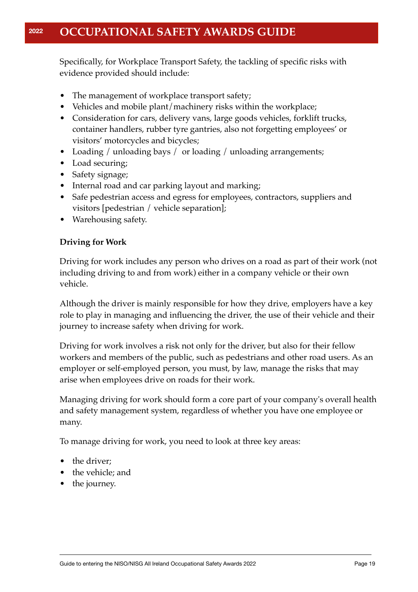Specifically, for Workplace Transport Safety, the tackling of specific risks with evidence provided should include:

- The management of workplace transport safety;
- Vehicles and mobile plant/machinery risks within the workplace;
- Consideration for cars, delivery vans, large goods vehicles, forklift trucks, container handlers, rubber tyre gantries, also not forgetting employees' or visitors' motorcycles and bicycles;
- Loading / unloading bays / or loading / unloading arrangements;
- Load securing;
- Safety signage;
- Internal road and car parking layout and marking;
- Safe pedestrian access and egress for employees, contractors, suppliers and visitors [pedestrian / vehicle separation];
- Warehousing safety.

#### **Driving for Work**

Driving for work includes any person who drives on a road as part of their work (not including driving to and from work) either in a company vehicle or their own vehicle.

Although the driver is mainly responsible for how they drive, employers have a key role to play in managing and influencing the driver, the use of their vehicle and their journey to increase safety when driving for work.

Driving for work involves a risk not only for the driver, but also for their fellow workers and members of the public, such as pedestrians and other road users. As an employer or self-employed person, you must, by law, manage the risks that may arise when employees drive on roads for their work.

Managing driving for work should form a core part of your company's overall health and safety management system, regardless of whether you have one employee or many.

To manage driving for work, you need to look at three key areas:

- the driver:
- the vehicle; and
- the journey.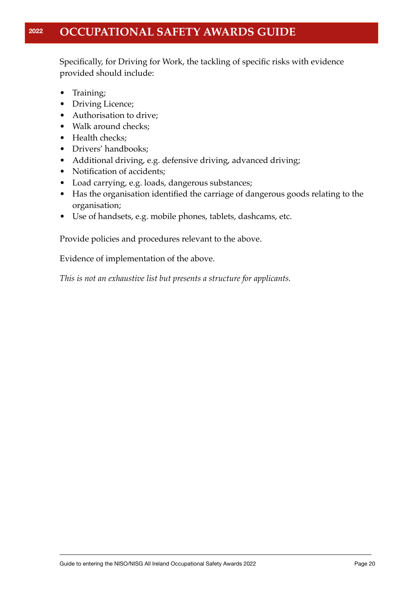Specifically, for Driving for Work, the tackling of specific risks with evidence provided should include:

- Training;
- Driving Licence;
- Authorisation to drive;
- Walk around checks;
- Health checks:
- Drivers' handbooks;
- Additional driving, e.g. defensive driving, advanced driving;
- Notification of accidents;
- Load carrying, e.g. loads, dangerous substances;
- Has the organisation identified the carriage of dangerous goods relating to the organisation;
- Use of handsets, e.g. mobile phones, tablets, dashcams, etc.

Provide policies and procedures relevant to the above.

Evidence of implementation of the above.